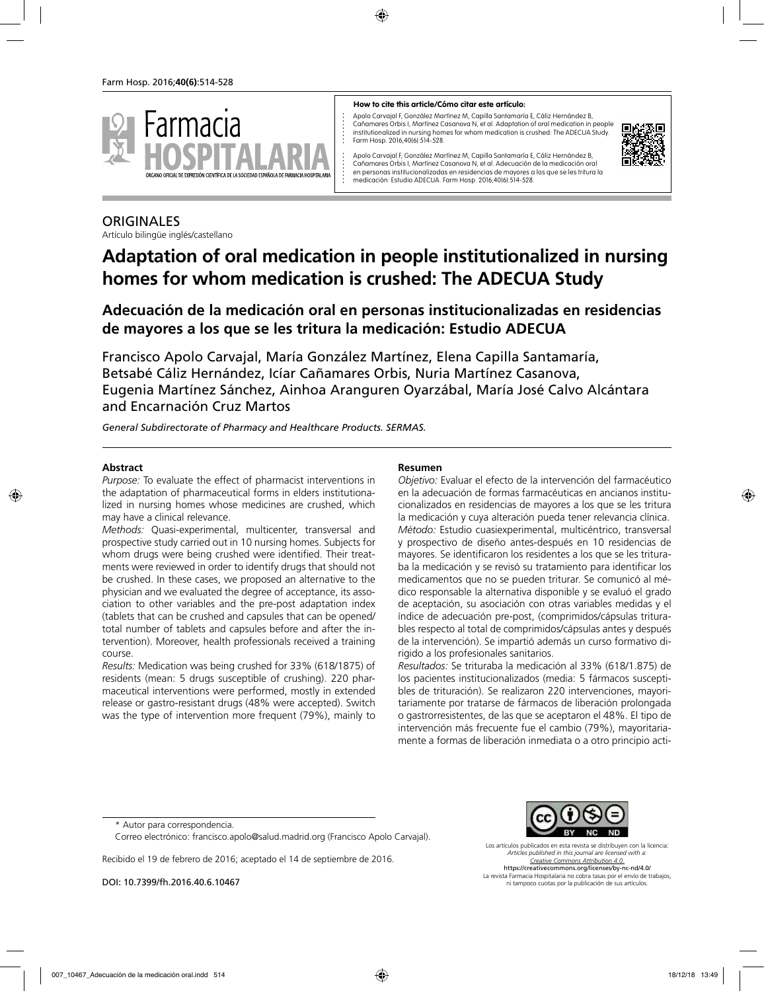

#### **How to cite this article/Cómo citar este artículo:**

Apolo Carvajal F, González Martínez M, Capilla Santamaría E, Cáliz Hernández B, Cañamares Orbis I, Martínez Casanova N, et al. Adaptation of oral medication in people institutionalized in nursing homes for whom medication is crushed: The ADECUA Study. Farm Hosp. 2016;40(6):514-528.



Apolo Carvajal F, González Martínez M, Capilla Santamaría E, Cáliz Hernández B, Cañamares Orbis I, Martínez Casanova N, et al. Adecuación de la medicación oral en personas institucionalizadas en residencias de mayores a los que se les tritura la medicación: Estudio ADECUA. Farm Hosp. 2016;40(6):514-528.

## **ORIGINALES**

Artículo bilingüe inglés/castellano

# **Adaptation of oral medication in people institutionalized in nursing homes for whom medication is crushed: The ADECUA Study**

## **Adecuación de la medicación oral en personas institucionalizadas en residencias de mayores a los que se les tritura la medicación: Estudio ADECUA**

Francisco Apolo Carvajal, María González Martínez, Elena Capilla Santamaría, Betsabé Cáliz Hernández, Icíar Cañamares Orbis, Nuria Martínez Casanova, Eugenia Martínez Sánchez, Ainhoa Aranguren Oyarzábal, María José Calvo Alcántara and Encarnación Cruz Martos

*General Subdirectorate of Pharmacy and Healthcare Products. SERMAS.*

#### **Abstract**

*Purpose:* To evaluate the effect of pharmacist interventions in the adaptation of pharmaceutical forms in elders institutionalized in nursing homes whose medicines are crushed, which may have a clinical relevance.

*Methods:* Quasi-experimental, multicenter, transversal and prospective study carried out in 10 nursing homes. Subjects for whom drugs were being crushed were identified. Their treatments were reviewed in order to identify drugs that should not be crushed. In these cases, we proposed an alternative to the physician and we evaluated the degree of acceptance, its association to other variables and the pre-post adaptation index (tablets that can be crushed and capsules that can be opened/ total number of tablets and capsules before and after the intervention). Moreover, health professionals received a training course.

*Results:* Medication was being crushed for 33% (618/1875) of residents (mean: 5 drugs susceptible of crushing). 220 pharmaceutical interventions were performed, mostly in extended release or gastro-resistant drugs (48% were accepted). Switch was the type of intervention more frequent (79%), mainly to

#### **Resumen**

*Objetivo:* Evaluar el efecto de la intervención del farmacéutico en la adecuación de formas farmacéuticas en ancianos institucionalizados en residencias de mayores a los que se les tritura la medicación y cuya alteración pueda tener relevancia clínica. *Método:* Estudio cuasiexperimental, multicéntrico, transversal y prospectivo de diseño antes-después en 10 residencias de mayores. Se identificaron los residentes a los que se les trituraba la medicación y se revisó su tratamiento para identificar los medicamentos que no se pueden triturar. Se comunicó al médico responsable la alternativa disponible y se evaluó el grado de aceptación, su asociación con otras variables medidas y el índice de adecuación pre-post, (comprimidos/cápsulas triturables respecto al total de comprimidos/cápsulas antes y después de la intervención). Se impartió además un curso formativo dirigido a los profesionales sanitarios.

*Resultados:* Se trituraba la medicación al 33% (618/1.875) de los pacientes institucionalizados (media: 5 fármacos susceptibles de trituración). Se realizaron 220 intervenciones, mayoritariamente por tratarse de fármacos de liberación prolongada o gastrorresistentes, de las que se aceptaron el 48%. El tipo de intervención más frecuente fue el cambio (79%), mayoritariamente a formas de liberación inmediata o a otro principio acti-

Correo electrónico: francisco.apolo@salud.madrid.org (Francisco Apolo Carvajal).

Recibido el 19 de febrero de 2016; aceptado el 14 de septiembre de 2016.

DOI: 10.7399/fh.2016.40.6.10467



Los artículos publicados en esta revista se distribuyen con la licencia: *Articles published in this journal are licensed with a: Creative Commons Attribution 4.0.* https://creativecommons.org/licenses/by-nc-nd/4.0/ La revista Farmacia Hospitalaria no cobra tasas por el envío de trabajos, ni tampoco cuotas por la publicación de sus artículos.

<sup>\*</sup> Autor para correspondencia.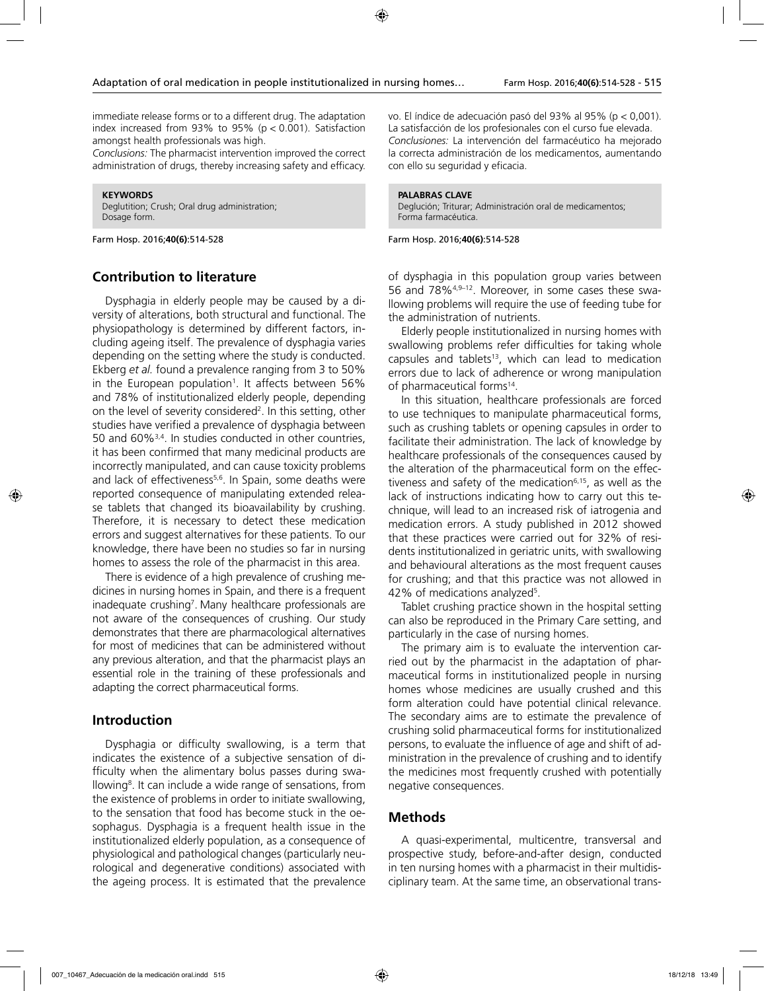immediate release forms or to a different drug. The adaptation index increased from 93% to 95% ( $p < 0.001$ ). Satisfaction amongst health professionals was high.

*Conclusions:* The pharmacist intervention improved the correct administration of drugs, thereby increasing safety and efficacy.

**KEYWORDS** Deglutition; Crush; Oral drug administration; Dosage form.

Farm Hosp. 2016;**40(6)**:514-528

#### **Contribution to literature**

Dysphagia in elderly people may be caused by a diversity of alterations, both structural and functional. The physiopathology is determined by different factors, including ageing itself. The prevalence of dysphagia varies depending on the setting where the study is conducted. Ekberg *et al.* found a prevalence ranging from 3 to 50% in the European population<sup>1</sup>. It affects between 56% and 78% of institutionalized elderly people, depending on the level of severity considered<sup>2</sup>. In this setting, other studies have verified a prevalence of dysphagia between 50 and 60%3,4. In studies conducted in other countries, it has been confirmed that many medicinal products are incorrectly manipulated, and can cause toxicity problems and lack of effectiveness<sup>5,6</sup>. In Spain, some deaths were reported consequence of manipulating extended release tablets that changed its bioavailability by crushing. Therefore, it is necessary to detect these medication errors and suggest alternatives for these patients. To our knowledge, there have been no studies so far in nursing homes to assess the role of the pharmacist in this area.

There is evidence of a high prevalence of crushing medicines in nursing homes in Spain, and there is a frequent inadequate crushing<sup>7</sup>. Many healthcare professionals are not aware of the consequences of crushing. Our study demonstrates that there are pharmacological alternatives for most of medicines that can be administered without any previous alteration, and that the pharmacist plays an essential role in the training of these professionals and adapting the correct pharmaceutical forms.

### **Introduction**

Dysphagia or difficulty swallowing, is a term that indicates the existence of a subjective sensation of difficulty when the alimentary bolus passes during swallowing<sup>8</sup>. It can include a wide range of sensations, from the existence of problems in order to initiate swallowing, to the sensation that food has become stuck in the oesophagus. Dysphagia is a frequent health issue in the institutionalized elderly population, as a consequence of physiological and pathological changes (particularly neurological and degenerative conditions) associated with the ageing process. It is estimated that the prevalence

vo. El índice de adecuación pasó del 93% al 95% (p < 0,001). La satisfacción de los profesionales con el curso fue elevada. *Conclusiones:* La intervención del farmacéutico ha mejorado la correcta administración de los medicamentos, aumentando con ello su seguridad y eficacia.

#### **PALABRAS CLAVE**

Deglución; Triturar; Administración oral de medicamentos; Forma farmacéutica.

Farm Hosp. 2016;**40(6)**:514-528

of dysphagia in this population group varies between 56 and 78%<sup>4,9-12</sup>. Moreover, in some cases these swallowing problems will require the use of feeding tube for the administration of nutrients.

Elderly people institutionalized in nursing homes with swallowing problems refer difficulties for taking whole capsules and tablets<sup>13</sup>, which can lead to medication errors due to lack of adherence or wrong manipulation of pharmaceutical forms<sup>14</sup>.

In this situation, healthcare professionals are forced to use techniques to manipulate pharmaceutical forms, such as crushing tablets or opening capsules in order to facilitate their administration. The lack of knowledge by healthcare professionals of the consequences caused by the alteration of the pharmaceutical form on the effectiveness and safety of the medication $6,15$ , as well as the lack of instructions indicating how to carry out this technique, will lead to an increased risk of iatrogenia and medication errors. A study published in 2012 showed that these practices were carried out for 32% of residents institutionalized in geriatric units, with swallowing and behavioural alterations as the most frequent causes for crushing; and that this practice was not allowed in 42% of medications analyzed<sup>5</sup>.

Tablet crushing practice shown in the hospital setting can also be reproduced in the Primary Care setting, and particularly in the case of nursing homes.

The primary aim is to evaluate the intervention carried out by the pharmacist in the adaptation of pharmaceutical forms in institutionalized people in nursing homes whose medicines are usually crushed and this form alteration could have potential clinical relevance. The secondary aims are to estimate the prevalence of crushing solid pharmaceutical forms for institutionalized persons, to evaluate the influence of age and shift of administration in the prevalence of crushing and to identify the medicines most frequently crushed with potentially negative consequences.

#### **Methods**

A quasi-experimental, multicentre, transversal and prospective study, before-and-after design, conducted in ten nursing homes with a pharmacist in their multidisciplinary team. At the same time, an observational trans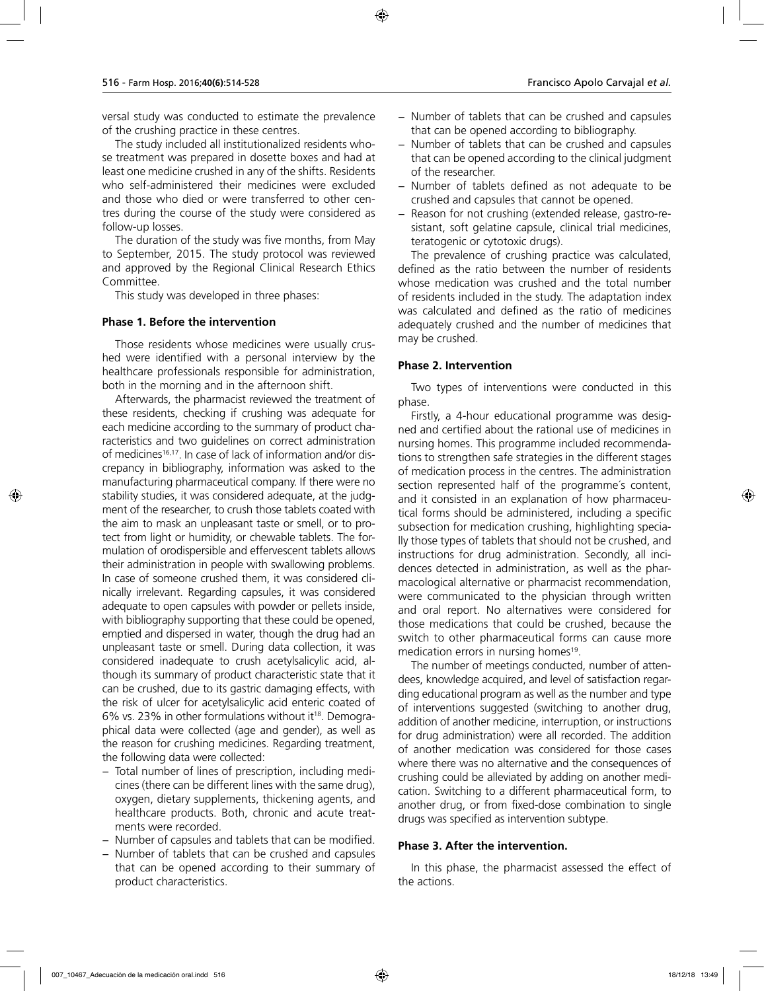versal study was conducted to estimate the prevalence of the crushing practice in these centres.

The study included all institutionalized residents whose treatment was prepared in dosette boxes and had at least one medicine crushed in any of the shifts. Residents who self-administered their medicines were excluded and those who died or were transferred to other centres during the course of the study were considered as follow-up losses.

The duration of the study was five months, from May to September, 2015. The study protocol was reviewed and approved by the Regional Clinical Research Ethics Committee.

This study was developed in three phases:

#### **Phase 1. Before the intervention**

Those residents whose medicines were usually crushed were identified with a personal interview by the healthcare professionals responsible for administration, both in the morning and in the afternoon shift.

Afterwards, the pharmacist reviewed the treatment of these residents, checking if crushing was adequate for each medicine according to the summary of product characteristics and two guidelines on correct administration of medicines<sup>16,17</sup>. In case of lack of information and/or discrepancy in bibliography, information was asked to the manufacturing pharmaceutical company. If there were no stability studies, it was considered adequate, at the judgment of the researcher, to crush those tablets coated with the aim to mask an unpleasant taste or smell, or to protect from light or humidity, or chewable tablets. The formulation of orodispersible and effervescent tablets allows their administration in people with swallowing problems. In case of someone crushed them, it was considered clinically irrelevant. Regarding capsules, it was considered adequate to open capsules with powder or pellets inside, with bibliography supporting that these could be opened, emptied and dispersed in water, though the drug had an unpleasant taste or smell. During data collection, it was considered inadequate to crush acetylsalicylic acid, although its summary of product characteristic state that it can be crushed, due to its gastric damaging effects, with the risk of ulcer for acetylsalicylic acid enteric coated of 6% vs. 23% in other formulations without it18. Demographical data were collected (age and gender), as well as the reason for crushing medicines. Regarding treatment, the following data were collected:

- − Total number of lines of prescription, including medicines (there can be different lines with the same drug), oxygen, dietary supplements, thickening agents, and healthcare products. Both, chronic and acute treatments were recorded.
- − Number of capsules and tablets that can be modified.
- − Number of tablets that can be crushed and capsules that can be opened according to their summary of product characteristics.
- − Number of tablets that can be crushed and capsules that can be opened according to bibliography.
- − Number of tablets that can be crushed and capsules that can be opened according to the clinical judgment of the researcher.
- Number of tablets defined as not adequate to be crushed and capsules that cannot be opened.
- − Reason for not crushing (extended release, gastro-resistant, soft gelatine capsule, clinical trial medicines, teratogenic or cytotoxic drugs).

The prevalence of crushing practice was calculated, defined as the ratio between the number of residents whose medication was crushed and the total number of residents included in the study. The adaptation index was calculated and defined as the ratio of medicines adequately crushed and the number of medicines that may be crushed.

#### **Phase 2. Intervention**

Two types of interventions were conducted in this phase.

Firstly, a 4-hour educational programme was designed and certified about the rational use of medicines in nursing homes. This programme included recommendations to strengthen safe strategies in the different stages of medication process in the centres. The administration section represented half of the programme´s content, and it consisted in an explanation of how pharmaceutical forms should be administered, including a specific subsection for medication crushing, highlighting specially those types of tablets that should not be crushed, and instructions for drug administration. Secondly, all incidences detected in administration, as well as the pharmacological alternative or pharmacist recommendation, were communicated to the physician through written and oral report. No alternatives were considered for those medications that could be crushed, because the switch to other pharmaceutical forms can cause more medication errors in nursing homes<sup>19</sup>.

The number of meetings conducted, number of attendees, knowledge acquired, and level of satisfaction regarding educational program as well as the number and type of interventions suggested (switching to another drug, addition of another medicine, interruption, or instructions for drug administration) were all recorded. The addition of another medication was considered for those cases where there was no alternative and the consequences of crushing could be alleviated by adding on another medication. Switching to a different pharmaceutical form, to another drug, or from fixed-dose combination to single drugs was specified as intervention subtype.

#### **Phase 3. After the intervention.**

In this phase, the pharmacist assessed the effect of the actions.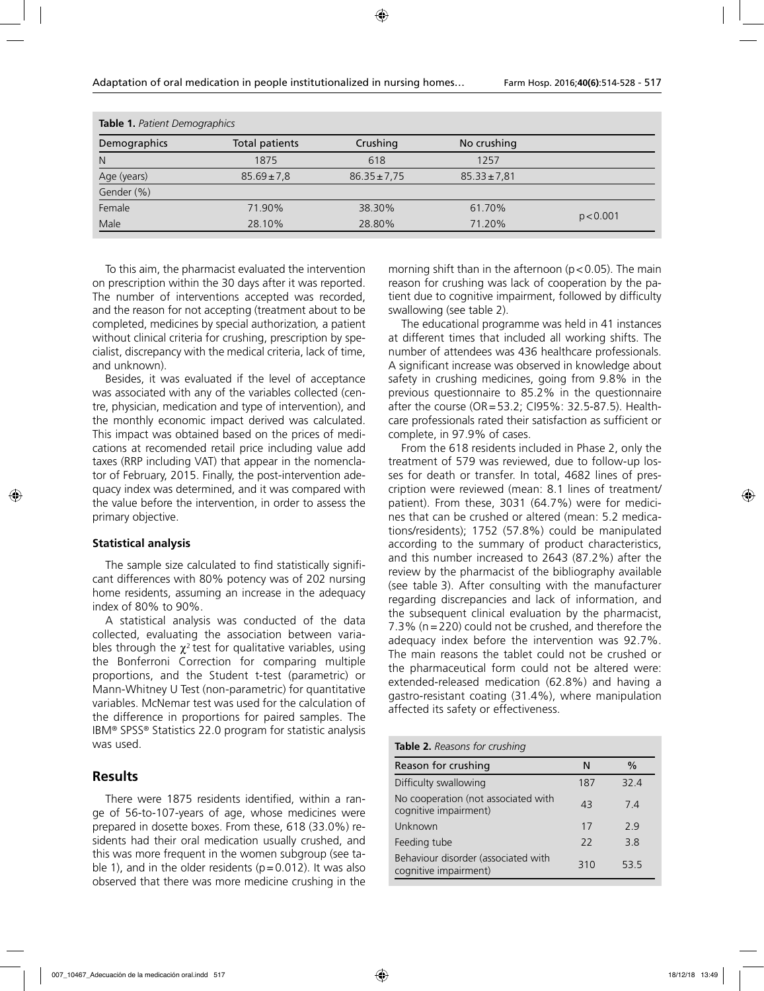| Table 1. Patient Demographics |                 |                  |                  |           |
|-------------------------------|-----------------|------------------|------------------|-----------|
| Demographics                  | Total patients  | Crushing         | No crushing      |           |
| N                             | 1875            | 618              | 1257             |           |
| Age (years)                   | $85.69 \pm 7.8$ | $86.35 \pm 7.75$ | $85.33 \pm 7.81$ |           |
| Gender (%)                    |                 |                  |                  |           |
| Female                        | 71.90%          | 38.30%           | 61.70%           |           |
| Male                          | 28.10%          | 28.80%           | 71.20%           | p < 0.001 |

To this aim, the pharmacist evaluated the intervention on prescription within the 30 days after it was reported. The number of interventions accepted was recorded, and the reason for not accepting (treatment about to be completed, medicines by special authorization*,* a patient without clinical criteria for crushing, prescription by specialist, discrepancy with the medical criteria, lack of time, and unknown).

Besides, it was evaluated if the level of acceptance was associated with any of the variables collected (centre, physician, medication and type of intervention), and the monthly economic impact derived was calculated. This impact was obtained based on the prices of medications at recomended retail price including value add taxes (RRP including VAT) that appear in the nomenclator of February, 2015. Finally, the post-intervention adequacy index was determined, and it was compared with the value before the intervention, in order to assess the primary objective.

#### **Statistical analysis**

The sample size calculated to find statistically significant differences with 80% potency was of 202 nursing home residents, assuming an increase in the adequacy index of 80% to 90%.

A statistical analysis was conducted of the data collected, evaluating the association between variables through the  $\chi^2$  test for qualitative variables, using the Bonferroni Correction for comparing multiple proportions, and the Student t-test (parametric) or Mann-Whitney U Test (non-parametric) for quantitative variables. McNemar test was used for the calculation of the difference in proportions for paired samples. The IBM® SPSS® Statistics 22.0 program for statistic analysis was used.

#### **Results**

There were 1875 residents identified, within a range of 56-to-107-years of age, whose medicines were prepared in dosette boxes. From these, 618 (33.0%) residents had their oral medication usually crushed, and this was more frequent in the women subgroup (see table 1), and in the older residents ( $p=0.012$ ). It was also observed that there was more medicine crushing in the

morning shift than in the afternoon ( $p < 0.05$ ). The main reason for crushing was lack of cooperation by the patient due to cognitive impairment, followed by difficulty swallowing (see table 2).

The educational programme was held in 41 instances at different times that included all working shifts. The number of attendees was 436 healthcare professionals. A significant increase was observed in knowledge about safety in crushing medicines, going from 9.8% in the previous questionnaire to 85.2% in the questionnaire after the course (OR=53.2; CI95%: 32.5-87.5). Healthcare professionals rated their satisfaction as sufficient or complete, in 97.9% of cases.

From the 618 residents included in Phase 2, only the treatment of 579 was reviewed, due to follow-up losses for death or transfer. In total, 4682 lines of prescription were reviewed (mean: 8.1 lines of treatment/ patient). From these, 3031 (64.7%) were for medicines that can be crushed or altered (mean: 5.2 medications/residents); 1752 (57.8%) could be manipulated according to the summary of product characteristics, and this number increased to 2643 (87.2%) after the review by the pharmacist of the bibliography available (see table 3). After consulting with the manufacturer regarding discrepancies and lack of information, and the subsequent clinical evaluation by the pharmacist, 7.3% (n=220) could not be crushed, and therefore the adequacy index before the intervention was 92.7%. The main reasons the tablet could not be crushed or the pharmaceutical form could not be altered were: extended-released medication (62.8%) and having a gastro-resistant coating (31.4%), where manipulation affected its safety or effectiveness.

#### **Table 2.** *Reasons for crushing*

| Reason for crushing                                          | N   | $\%$ |
|--------------------------------------------------------------|-----|------|
| Difficulty swallowing                                        | 187 | 324  |
| No cooperation (not associated with<br>cognitive impairment) | 43  | 74   |
| Unknown                                                      | 17  | 29   |
| Feeding tube                                                 | 22  | 38   |
| Behaviour disorder (associated with<br>cognitive impairment) | 310 | 535  |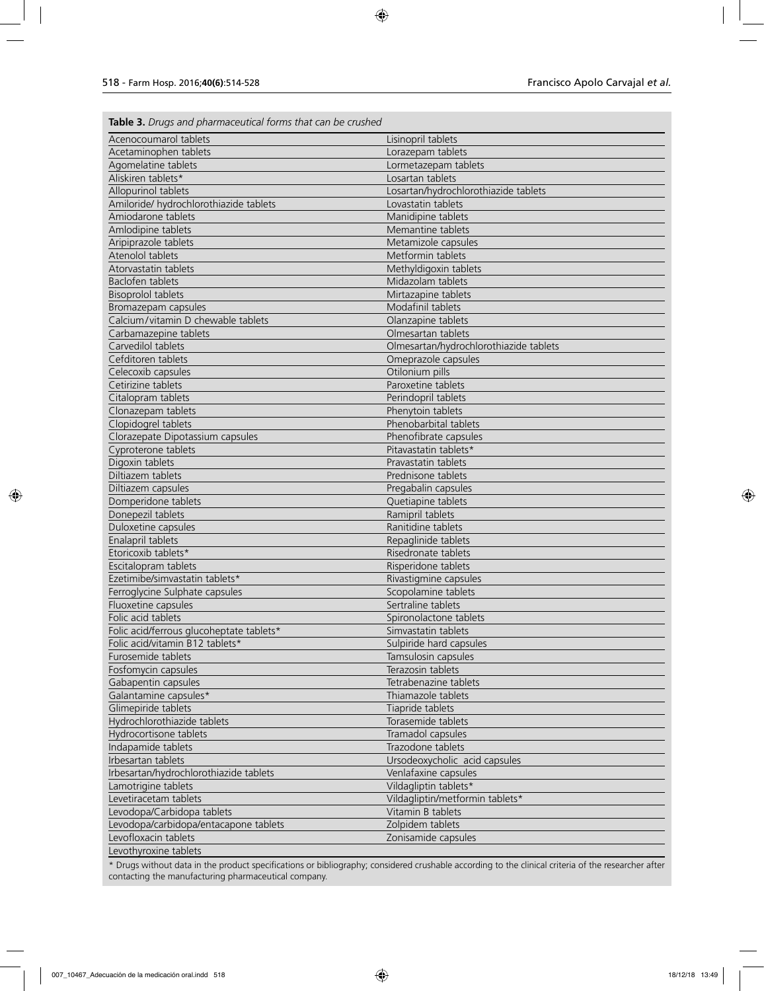**Table 3.** *Drugs and pharmaceutical forms that can be crushed*

| Acenocoumarol tablets                                         | Lisinopril tablets                                   |
|---------------------------------------------------------------|------------------------------------------------------|
| Acetaminophen tablets                                         | Lorazepam tablets                                    |
| Agomelatine tablets                                           | Lormetazepam tablets                                 |
| Aliskiren tablets*                                            | Losartan tablets                                     |
| Allopurinol tablets                                           | Losartan/hydrochlorothiazide tablets                 |
| Amiloride/ hydrochlorothiazide tablets                        | Lovastatin tablets                                   |
| Amiodarone tablets                                            | Manidipine tablets                                   |
| Amlodipine tablets                                            | Memantine tablets                                    |
| Aripiprazole tablets                                          | Metamizole capsules                                  |
| Atenolol tablets                                              | Metformin tablets                                    |
| Atorvastatin tablets                                          | Methyldigoxin tablets                                |
| Baclofen tablets                                              | Midazolam tablets                                    |
| <b>Bisoprolol tablets</b>                                     | Mirtazapine tablets                                  |
| Bromazepam capsules                                           | Modafinil tablets                                    |
| Calcium/vitamin D chewable tablets                            | Olanzapine tablets                                   |
| Carbamazepine tablets                                         | Olmesartan tablets                                   |
| Carvedilol tablets                                            | Olmesartan/hydrochlorothiazide tablets               |
| Cefditoren tablets                                            | Omeprazole capsules                                  |
| Celecoxib capsules                                            | Otilonium pills                                      |
| Cetirizine tablets                                            | Paroxetine tablets                                   |
| Citalopram tablets                                            | Perindopril tablets                                  |
| Clonazepam tablets                                            | Phenytoin tablets                                    |
| Clopidogrel tablets                                           | Phenobarbital tablets                                |
| Clorazepate Dipotassium capsules                              | Phenofibrate capsules                                |
| Cyproterone tablets                                           | Pitavastatin tablets*                                |
| Digoxin tablets                                               | Pravastatin tablets                                  |
| Diltiazem tablets                                             | Prednisone tablets                                   |
| Diltiazem capsules                                            | Pregabalin capsules                                  |
| Domperidone tablets                                           | Quetiapine tablets                                   |
| Donepezil tablets                                             | Ramipril tablets                                     |
| Duloxetine capsules                                           | Ranitidine tablets                                   |
| Enalapril tablets                                             | Repaglinide tablets                                  |
| Etoricoxib tablets*                                           | Risedronate tablets                                  |
| Escitalopram tablets                                          | Risperidone tablets                                  |
| Ezetimibe/simvastatin tablets*                                | Rivastigmine capsules                                |
| Ferroglycine Sulphate capsules                                | Scopolamine tablets                                  |
| Fluoxetine capsules                                           | Sertraline tablets                                   |
| Folic acid tablets                                            | Spironolactone tablets                               |
| Folic acid/ferrous glucoheptate tablets*                      | Simvastatin tablets                                  |
| Folic acid/vitamin B12 tablets*                               | Sulpiride hard capsules                              |
| Furosemide tablets                                            | Tamsulosin capsules                                  |
| Fosfomycin capsules                                           | Terazosin tablets                                    |
| Gabapentin capsules                                           | Tetrabenazine tablets                                |
| Galantamine capsules*                                         | Thiamazole tablets                                   |
| Glimepiride tablets                                           | Tiapride tablets                                     |
| Hydrochlorothiazide tablets                                   | Torasemide tablets                                   |
| Hydrocortisone tablets                                        | Tramadol capsules                                    |
| Indapamide tablets                                            | Trazodone tablets                                    |
| Irbesartan tablets                                            | Ursodeoxycholic acid capsules                        |
| Irbesartan/hydrochlorothiazide tablets                        | Venlafaxine capsules                                 |
| Lamotrigine tablets                                           |                                                      |
|                                                               | Vildagliptin tablets*                                |
| Levetiracetam tablets                                         | Vildagliptin/metformin tablets*<br>Vitamin B tablets |
| Levodopa/Carbidopa tablets                                    |                                                      |
| Levodopa/carbidopa/entacapone tablets<br>Levofloxacin tablets | Zolpidem tablets                                     |
|                                                               | Zonisamide capsules                                  |
| Levothyroxine tablets                                         |                                                      |

\* Drugs without data in the product specifications or bibliography; considered crushable according to the clinical criteria of the researcher after contacting the manufacturing pharmaceutical company.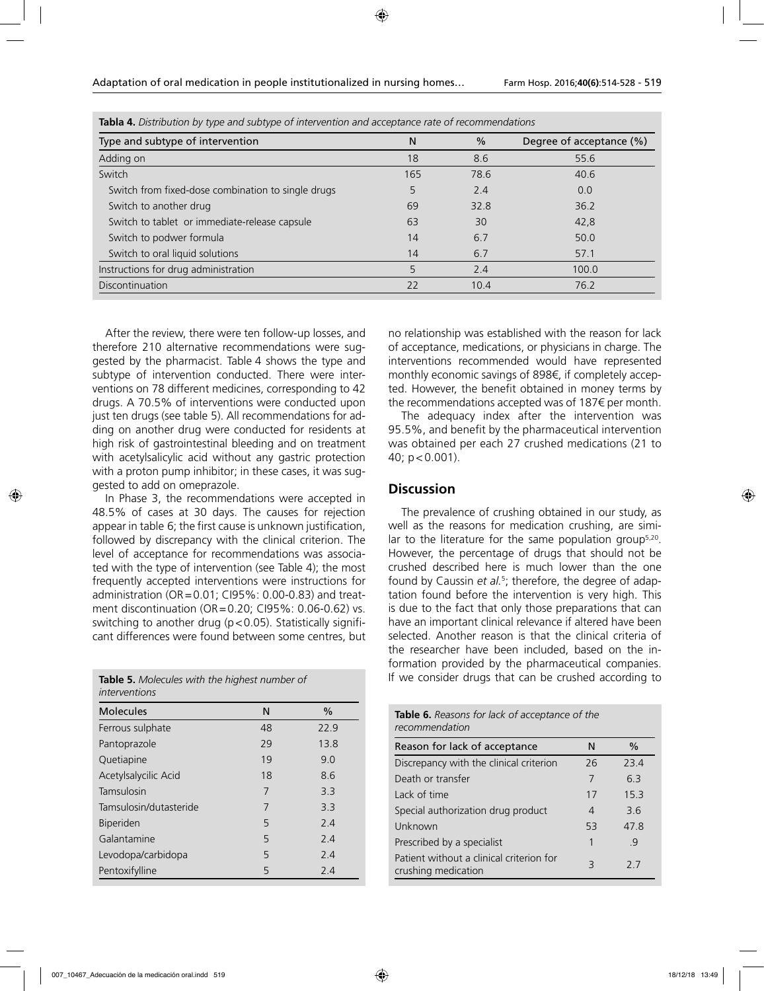| Type and subtype of intervention                   | N   | $\%$ | Degree of acceptance (%) |  |
|----------------------------------------------------|-----|------|--------------------------|--|
| Adding on                                          | 18  | 8.6  | 55.6                     |  |
| Switch                                             | 165 | 78.6 | 40.6                     |  |
| Switch from fixed-dose combination to single drugs | 5   | 2.4  | 0.0                      |  |
| Switch to another drug                             | 69  | 32.8 | 36.2                     |  |
| Switch to tablet or immediate-release capsule      | 63  | 30   | 42,8                     |  |
| Switch to podwer formula                           | 14  | 6.7  | 50.0                     |  |
| Switch to oral liquid solutions                    | 14  | 6.7  | 57.1                     |  |
| Instructions for drug administration               | 5   | 2.4  | 100.0                    |  |
| <b>Discontinuation</b>                             | 22  | 10.4 | 76.2                     |  |

**Tabla 4.** *Distribution by type and subtype of intervention and acceptance rate of recommendations*

After the review, there were ten follow-up losses, and therefore 210 alternative recommendations were suggested by the pharmacist. Table 4 shows the type and subtype of intervention conducted. There were interventions on 78 different medicines, corresponding to 42 drugs. A 70.5% of interventions were conducted upon just ten drugs (see table 5). All recommendations for adding on another drug were conducted for residents at high risk of gastrointestinal bleeding and on treatment with acetylsalicylic acid without any gastric protection with a proton pump inhibitor; in these cases, it was suggested to add on omeprazole.

In Phase 3, the recommendations were accepted in 48.5% of cases at 30 days. The causes for rejection appear in table 6; the first cause is unknown justification, followed by discrepancy with the clinical criterion. The level of acceptance for recommendations was associated with the type of intervention (see Table 4); the most frequently accepted interventions were instructions for administration (OR=0.01; CI95%: 0.00-0.83) and treatment discontinuation (OR=0.20; CI95%: 0.06-0.62) vs. switching to another drug ( $p < 0.05$ ). Statistically significant differences were found between some centres, but

**Table 5.** *Molecules with the highest number of interventions*

| <b>Molecules</b>       | N  | $\%$ |
|------------------------|----|------|
| Ferrous sulphate       | 48 | 22.9 |
| Pantoprazole           | 29 | 13.8 |
| Quetiapine             | 19 | 9.0  |
| Acetylsalycilic Acid   | 18 | 8.6  |
| Tamsulosin             | 7  | 3.3  |
| Tamsulosin/dutasteride | 7  | 3.3  |
| <b>Biperiden</b>       | 5  | 24   |
| Galantamine            | 5  | 2.4  |
| Levodopa/carbidopa     | 5  | 2.4  |
| Pentoxifylline         | 5  | 2.4  |

no relationship was established with the reason for lack of acceptance, medications, or physicians in charge. The interventions recommended would have represented monthly economic savings of 898€, if completely accepted. However, the benefit obtained in money terms by the recommendations accepted was of 187€ per month.

The adequacy index after the intervention was 95.5%, and benefit by the pharmaceutical intervention was obtained per each 27 crushed medications (21 to 40; p<0.001).

### **Discussion**

The prevalence of crushing obtained in our study, as well as the reasons for medication crushing, are similar to the literature for the same population group<sup>5,20</sup>. However, the percentage of drugs that should not be crushed described here is much lower than the one found by Caussin et al.<sup>5</sup>; therefore, the degree of adaptation found before the intervention is very high. This is due to the fact that only those preparations that can have an important clinical relevance if altered have been selected. Another reason is that the clinical criteria of the researcher have been included, based on the information provided by the pharmaceutical companies. If we consider drugs that can be crushed according to

| <b>Table 6.</b> Reasons for lack of acceptance of the<br>recommendation |    |      |  |
|-------------------------------------------------------------------------|----|------|--|
| Reason for lack of acceptance                                           | N  | $\%$ |  |
| Discrepancy with the clinical criterion                                 | 26 | 23.4 |  |
| Death or transfer                                                       | 7  | 63   |  |
| Lack of time                                                            | 17 | 153  |  |
| Special authorization drug product                                      | 4  | 36   |  |
| Unknown                                                                 | 53 | 478  |  |
| Prescribed by a specialist                                              | 1  | -9   |  |
| Patient without a clinical criterion for<br>crushing medication         | 3  | 27   |  |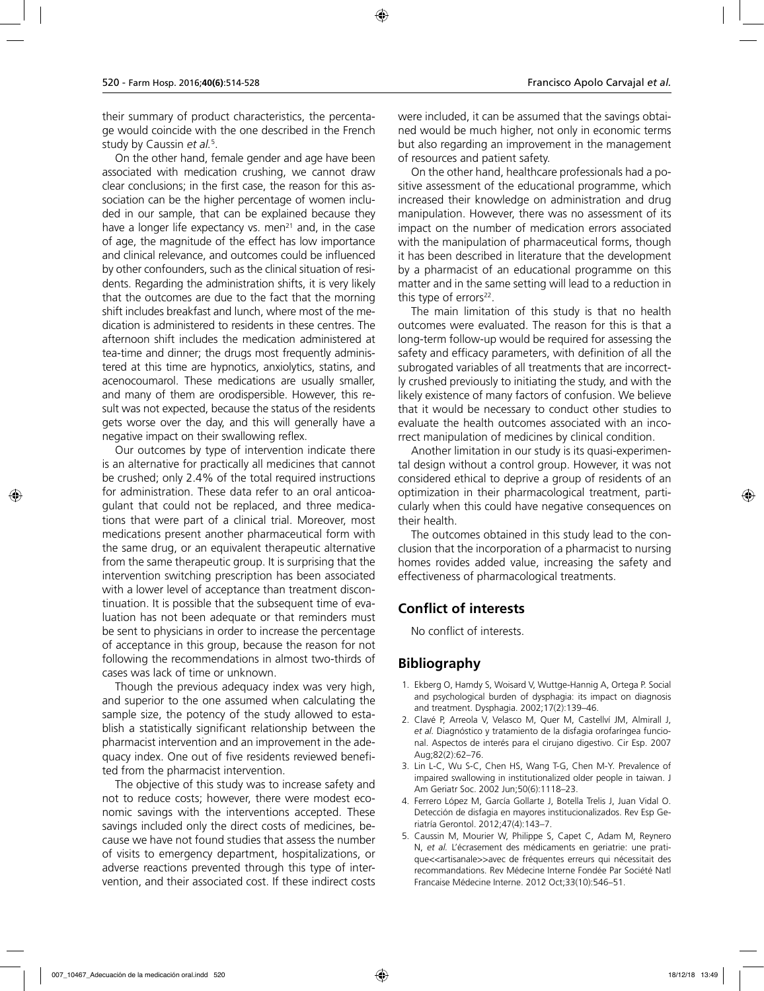their summary of product characteristics, the percentage would coincide with the one described in the French study by Caussin *et al.*<sup>5</sup> .

On the other hand, female gender and age have been associated with medication crushing, we cannot draw clear conclusions; in the first case, the reason for this association can be the higher percentage of women included in our sample, that can be explained because they have a longer life expectancy vs. men<sup>21</sup> and, in the case of age, the magnitude of the effect has low importance and clinical relevance, and outcomes could be influenced by other confounders, such as the clinical situation of residents. Regarding the administration shifts, it is very likely that the outcomes are due to the fact that the morning shift includes breakfast and lunch, where most of the medication is administered to residents in these centres. The afternoon shift includes the medication administered at tea-time and dinner; the drugs most frequently administered at this time are hypnotics, anxiolytics, statins, and acenocoumarol. These medications are usually smaller, and many of them are orodispersible. However, this result was not expected, because the status of the residents gets worse over the day, and this will generally have a negative impact on their swallowing reflex.

Our outcomes by type of intervention indicate there is an alternative for practically all medicines that cannot be crushed; only 2.4% of the total required instructions for administration. These data refer to an oral anticoagulant that could not be replaced, and three medications that were part of a clinical trial. Moreover, most medications present another pharmaceutical form with the same drug, or an equivalent therapeutic alternative from the same therapeutic group. It is surprising that the intervention switching prescription has been associated with a lower level of acceptance than treatment discontinuation. It is possible that the subsequent time of evaluation has not been adequate or that reminders must be sent to physicians in order to increase the percentage of acceptance in this group, because the reason for not following the recommendations in almost two-thirds of cases was lack of time or unknown.

Though the previous adequacy index was very high, and superior to the one assumed when calculating the sample size, the potency of the study allowed to establish a statistically significant relationship between the pharmacist intervention and an improvement in the adequacy index. One out of five residents reviewed benefited from the pharmacist intervention.

The objective of this study was to increase safety and not to reduce costs; however, there were modest economic savings with the interventions accepted. These savings included only the direct costs of medicines, because we have not found studies that assess the number of visits to emergency department, hospitalizations, or adverse reactions prevented through this type of intervention, and their associated cost. If these indirect costs were included, it can be assumed that the savings obtained would be much higher, not only in economic terms but also regarding an improvement in the management of resources and patient safety.

On the other hand, healthcare professionals had a positive assessment of the educational programme, which increased their knowledge on administration and drug manipulation. However, there was no assessment of its impact on the number of medication errors associated with the manipulation of pharmaceutical forms, though it has been described in literature that the development by a pharmacist of an educational programme on this matter and in the same setting will lead to a reduction in this type of errors $22$ .

The main limitation of this study is that no health outcomes were evaluated. The reason for this is that a long-term follow-up would be required for assessing the safety and efficacy parameters, with definition of all the subrogated variables of all treatments that are incorrectly crushed previously to initiating the study, and with the likely existence of many factors of confusion. We believe that it would be necessary to conduct other studies to evaluate the health outcomes associated with an incorrect manipulation of medicines by clinical condition.

Another limitation in our study is its quasi-experimental design without a control group. However, it was not considered ethical to deprive a group of residents of an optimization in their pharmacological treatment, particularly when this could have negative consequences on their health.

The outcomes obtained in this study lead to the conclusion that the incorporation of a pharmacist to nursing homes rovides added value, increasing the safety and effectiveness of pharmacological treatments.

## **Conflict of interests**

No conflict of interests.

## **Bibliography**

- 1. Ekberg O, Hamdy S, Woisard V, Wuttge-Hannig A, Ortega P. Social and psychological burden of dysphagia: its impact on diagnosis and treatment. Dysphagia. 2002;17(2):139–46.
- 2. Clavé P, Arreola V, Velasco M, Quer M, Castellví JM, Almirall J, *et al.* Diagnóstico y tratamiento de la disfagia orofaríngea funcional. Aspectos de interés para el cirujano digestivo. Cir Esp. 2007 Aug;82(2):62–76.
- 3. Lin L-C, Wu S-C, Chen HS, Wang T-G, Chen M-Y. Prevalence of impaired swallowing in institutionalized older people in taiwan. J Am Geriatr Soc. 2002 Jun;50(6):1118–23.
- 4. Ferrero López M, García Gollarte J, Botella Trelis J, Juan Vidal O. Detección de disfagia en mayores institucionalizados. Rev Esp Geriatría Gerontol. 2012;47(4):143–7.
- 5. Caussin M, Mourier W, Philippe S, Capet C, Adam M, Reynero N, *et al.* L'écrasement des médicaments en geriatrie: une pratique<<artisanale>>avec de fréquentes erreurs qui nécessitait des recommandations. Rev Médecine Interne Fondée Par Société Natl Francaise Médecine Interne. 2012 Oct;33(10):546–51.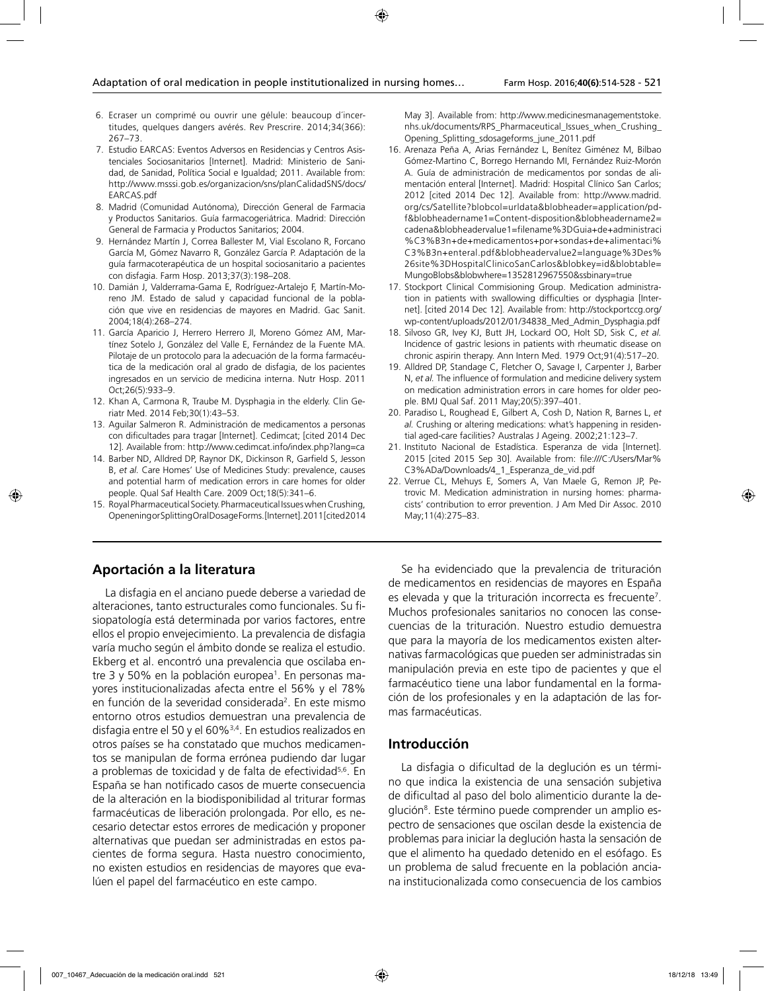- 6. Ecraser un comprimé ou ouvrir une gélule: beaucoup d´incertitudes, quelques dangers avérés. Rev Prescrire. 2014;34(366): 267–73.
- 7. Estudio EARCAS: Eventos Adversos en Residencias y Centros Asistenciales Sociosanitarios [Internet]. Madrid: Ministerio de Sanidad, de Sanidad, Política Social e Igualdad; 2011. Available from: http://www.msssi.gob.es/organizacion/sns/planCalidadSNS/docs/ EARCAS.pdf
- 8. Madrid (Comunidad Autónoma), Dirección General de Farmacia y Productos Sanitarios. Guía farmacogeriátrica. Madrid: Dirección General de Farmacia y Productos Sanitarios; 2004.
- 9. Hernández Martín J, Correa Ballester M, Vial Escolano R, Forcano García M, Gómez Navarro R, González García P. Adaptación de la guía farmacoterapéutica de un hospital sociosanitario a pacientes con disfagia. Farm Hosp. 2013;37(3):198–208.
- 10. Damián J, Valderrama-Gama E, Rodríguez-Artalejo F, Martín-Moreno JM. Estado de salud y capacidad funcional de la población que vive en residencias de mayores en Madrid. Gac Sanit. 2004;18(4):268–274.
- 11. García Aparicio J, Herrero Herrero JI, Moreno Gómez AM, Martínez Sotelo J, González del Valle E, Fernández de la Fuente MA. Pilotaje de un protocolo para la adecuación de la forma farmacéutica de la medicación oral al grado de disfagia, de los pacientes ingresados en un servicio de medicina interna. Nutr Hosp. 2011 Oct;26(5):933–9.
- 12. Khan A, Carmona R, Traube M. Dysphagia in the elderly. Clin Geriatr Med. 2014 Feb;30(1):43–53.
- 13. Aguilar Salmeron R. Administración de medicamentos a personas con dificultades para tragar [Internet]. Cedimcat; [cited 2014 Dec 12]. Available from: http://www.cedimcat.info/index.php?lang=ca
- 14. Barber ND, Alldred DP, Raynor DK, Dickinson R, Garfield S, Jesson B, *et al.* Care Homes' Use of Medicines Study: prevalence, causes and potential harm of medication errors in care homes for older people. Qual Saf Health Care. 2009 Oct;18(5):341–6.
- 15. Royal Pharmaceutical Society. Pharmaceutical Issues when Crushing, Openening or Splitting Oral Dosage Forms. [Internet]. 2011 [cited 2014

### **Aportación a la literatura**

La disfagia en el anciano puede deberse a variedad de alteraciones, tanto estructurales como funcionales. Su fisiopatología está determinada por varios factores, entre ellos el propio envejecimiento. La prevalencia de disfagia varía mucho según el ámbito donde se realiza el estudio. Ekberg et al. encontró una prevalencia que oscilaba entre 3 y 50% en la población europea<sup>1</sup>. En personas mayores institucionalizadas afecta entre el 56% y el 78% en función de la severidad considerada<sup>2</sup>. En este mismo entorno otros estudios demuestran una prevalencia de disfagia entre el 50 y el 60%3,4. En estudios realizados en otros países se ha constatado que muchos medicamentos se manipulan de forma errónea pudiendo dar lugar a problemas de toxicidad y de falta de efectividad<sup>5,6</sup>. En España se han notificado casos de muerte consecuencia de la alteración en la biodisponibilidad al triturar formas farmacéuticas de liberación prolongada. Por ello, es necesario detectar estos errores de medicación y proponer alternativas que puedan ser administradas en estos pacientes de forma segura. Hasta nuestro conocimiento, no existen estudios en residencias de mayores que evalúen el papel del farmacéutico en este campo.

May 3]. Available from: http://www.medicinesmanagementstoke. nhs.uk/documents/RPS\_Pharmaceutical\_Issues\_when\_Crushing\_ Opening\_Splitting\_sdosageforms\_june\_2011.pdf

- 16. Arenaza Peña A, Arias Fernández L, Benítez Giménez M, Bilbao Gómez-Martino C, Borrego Hernando MI, Fernández Ruiz-Morón A. Guía de administración de medicamentos por sondas de alimentación enteral [Internet]. Madrid: Hospital Clínico San Carlos; 2012 [cited 2014 Dec 12]. Available from: http://www.madrid. org/cs/Satellite?blobcol=urldata&blobheader=application/pdf&blobheadername1=Content-disposition&blobheadername2= cadena&blobheadervalue1=filename%3DGuia+de+administraci %C3%B3n+de+medicamentos+por+sondas+de+alimentaci% C3%B3n+enteral.pdf&blobheadervalue2=language%3Des% 26site%3DHospitalClinicoSanCarlos&blobkey=id&blobtable= MungoBlobs&blobwhere=1352812967550&ssbinary=true
- 17. Stockport Clinical Commisioning Group. Medication administration in patients with swallowing difficulties or dysphagia [Internet]. [cited 2014 Dec 12]. Available from: http://stockportccg.org/ wp-content/uploads/2012/01/34838\_Med\_Admin\_Dysphagia.pdf
- 18. Silvoso GR, Ivey KJ, Butt JH, Lockard OO, Holt SD, Sisk C, *et al.* Incidence of gastric lesions in patients with rheumatic disease on chronic aspirin therapy. Ann Intern Med. 1979 Oct;91(4):517–20.
- 19. Alldred DP, Standage C, Fletcher O, Savage I, Carpenter J, Barber N, *et al.* The influence of formulation and medicine delivery system on medication administration errors in care homes for older people. BMJ Qual Saf. 2011 May;20(5):397–401.
- 20. Paradiso L, Roughead E, Gilbert A, Cosh D, Nation R, Barnes L, *et al.* Crushing or altering medications: what's happening in residential aged-care facilities? Australas J Ageing. 2002;21:123–7.
- 21. Instituto Nacional de Estadística. Esperanza de vida [Internet]. 2015 [cited 2015 Sep 30]. Available from: file:///C:/Users/Mar% C3%ADa/Downloads/4\_1\_Esperanza\_de\_vid.pdf
- 22. Verrue CL, Mehuys E, Somers A, Van Maele G, Remon JP, Petrovic M. Medication administration in nursing homes: pharmacists' contribution to error prevention. J Am Med Dir Assoc. 2010 May;11(4):275–83.

Se ha evidenciado que la prevalencia de trituración de medicamentos en residencias de mayores en España es elevada y que la trituración incorrecta es frecuente<sup>7</sup>. Muchos profesionales sanitarios no conocen las consecuencias de la trituración. Nuestro estudio demuestra que para la mayoría de los medicamentos existen alternativas farmacológicas que pueden ser administradas sin manipulación previa en este tipo de pacientes y que el farmacéutico tiene una labor fundamental en la formación de los profesionales y en la adaptación de las formas farmacéuticas.

#### **Introducción**

La disfagia o dificultad de la deglución es un término que indica la existencia de una sensación subjetiva de dificultad al paso del bolo alimenticio durante la deglución<sup>8</sup>. Este término puede comprender un amplio espectro de sensaciones que oscilan desde la existencia de problemas para iniciar la deglución hasta la sensación de que el alimento ha quedado detenido en el esófago. Es un problema de salud frecuente en la población anciana institucionalizada como consecuencia de los cambios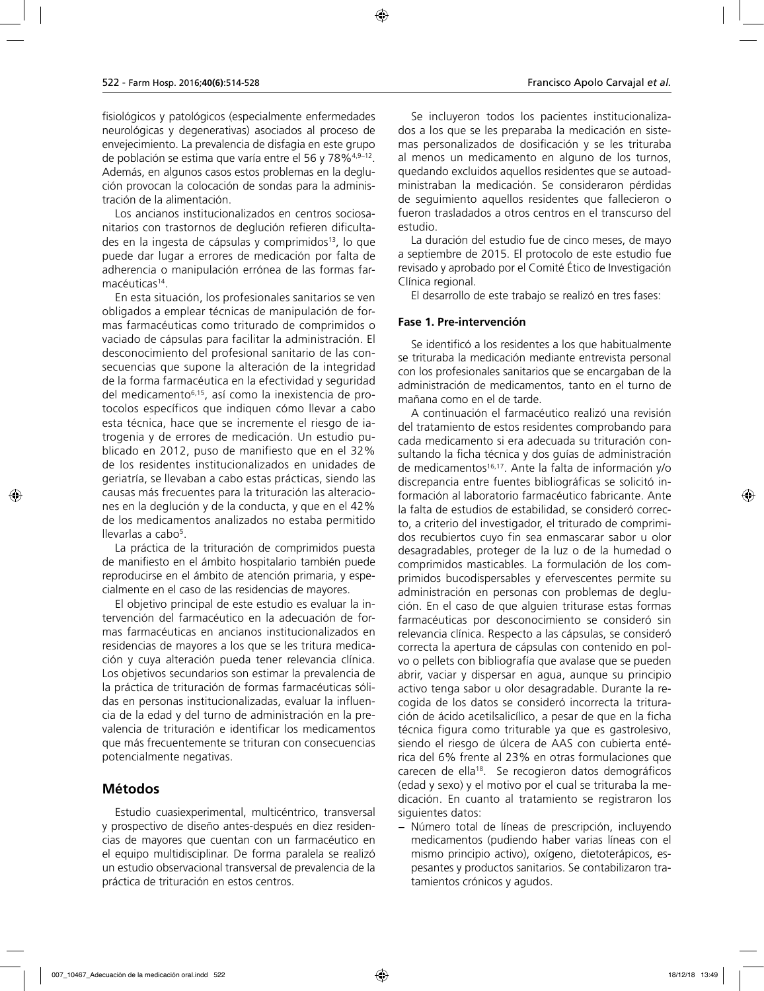fisiológicos y patológicos (especialmente enfermedades neurológicas y degenerativas) asociados al proceso de envejecimiento. La prevalencia de disfagia en este grupo de población se estima que varía entre el 56 y 78%<sup>4,9-12</sup>. Además, en algunos casos estos problemas en la deglución provocan la colocación de sondas para la administración de la alimentación.

Los ancianos institucionalizados en centros sociosanitarios con trastornos de deglución refieren dificultades en la ingesta de cápsulas y comprimidos<sup>13</sup>, lo que puede dar lugar a errores de medicación por falta de adherencia o manipulación errónea de las formas farmacéuticas<sup>14</sup>.

En esta situación, los profesionales sanitarios se ven obligados a emplear técnicas de manipulación de formas farmacéuticas como triturado de comprimidos o vaciado de cápsulas para facilitar la administración. El desconocimiento del profesional sanitario de las consecuencias que supone la alteración de la integridad de la forma farmacéutica en la efectividad y seguridad del medicamento6,15, así como la inexistencia de protocolos específicos que indiquen cómo llevar a cabo esta técnica, hace que se incremente el riesgo de iatrogenia y de errores de medicación. Un estudio publicado en 2012, puso de manifiesto que en el 32% de los residentes institucionalizados en unidades de geriatría, se llevaban a cabo estas prácticas, siendo las causas más frecuentes para la trituración las alteraciones en la deglución y de la conducta, y que en el 42% de los medicamentos analizados no estaba permitido llevarlas a cabo<sup>5</sup>.

La práctica de la trituración de comprimidos puesta de manifiesto en el ámbito hospitalario también puede reproducirse en el ámbito de atención primaria, y especialmente en el caso de las residencias de mayores.

El objetivo principal de este estudio es evaluar la intervención del farmacéutico en la adecuación de formas farmacéuticas en ancianos institucionalizados en residencias de mayores a los que se les tritura medicación y cuya alteración pueda tener relevancia clínica. Los objetivos secundarios son estimar la prevalencia de la práctica de trituración de formas farmacéuticas sólidas en personas institucionalizadas, evaluar la influencia de la edad y del turno de administración en la prevalencia de trituración e identificar los medicamentos que más frecuentemente se trituran con consecuencias potencialmente negativas.

## **Métodos**

Estudio cuasiexperimental, multicéntrico, transversal y prospectivo de diseño antes-después en diez residencias de mayores que cuentan con un farmacéutico en el equipo multidisciplinar. De forma paralela se realizó un estudio observacional transversal de prevalencia de la práctica de trituración en estos centros.

Se incluyeron todos los pacientes institucionalizados a los que se les preparaba la medicación en sistemas personalizados de dosificación y se les trituraba al menos un medicamento en alguno de los turnos, quedando excluidos aquellos residentes que se autoadministraban la medicación. Se consideraron pérdidas de seguimiento aquellos residentes que fallecieron o fueron trasladados a otros centros en el transcurso del estudio.

La duración del estudio fue de cinco meses, de mayo a septiembre de 2015. El protocolo de este estudio fue revisado y aprobado por el Comité Ético de Investigación Clínica regional.

El desarrollo de este trabajo se realizó en tres fases:

#### **Fase 1. Pre-intervención**

Se identificó a los residentes a los que habitualmente se trituraba la medicación mediante entrevista personal con los profesionales sanitarios que se encargaban de la administración de medicamentos, tanto en el turno de mañana como en el de tarde.

A continuación el farmacéutico realizó una revisión del tratamiento de estos residentes comprobando para cada medicamento si era adecuada su trituración consultando la ficha técnica y dos guías de administración de medicamentos<sup>16,17</sup>. Ante la falta de información y/o discrepancia entre fuentes bibliográficas se solicitó información al laboratorio farmacéutico fabricante. Ante la falta de estudios de estabilidad, se consideró correcto, a criterio del investigador, el triturado de comprimidos recubiertos cuyo fin sea enmascarar sabor u olor desagradables, proteger de la luz o de la humedad o comprimidos masticables. La formulación de los comprimidos bucodispersables y efervescentes permite su administración en personas con problemas de deglución. En el caso de que alguien triturase estas formas farmacéuticas por desconocimiento se consideró sin relevancia clínica. Respecto a las cápsulas, se consideró correcta la apertura de cápsulas con contenido en polvo o pellets con bibliografía que avalase que se pueden abrir, vaciar y dispersar en agua, aunque su principio activo tenga sabor u olor desagradable. Durante la recogida de los datos se consideró incorrecta la trituración de ácido acetilsalicílico, a pesar de que en la ficha técnica figura como triturable ya que es gastrolesivo, siendo el riesgo de úlcera de AAS con cubierta entérica del 6% frente al 23% en otras formulaciones que carecen de ella<sup>18</sup>. Se recogieron datos demográficos (edad y sexo) y el motivo por el cual se trituraba la medicación. En cuanto al tratamiento se registraron los siguientes datos:

− Número total de líneas de prescripción, incluyendo medicamentos (pudiendo haber varias líneas con el mismo principio activo), oxígeno, dietoterápicos, espesantes y productos sanitarios. Se contabilizaron tratamientos crónicos y agudos.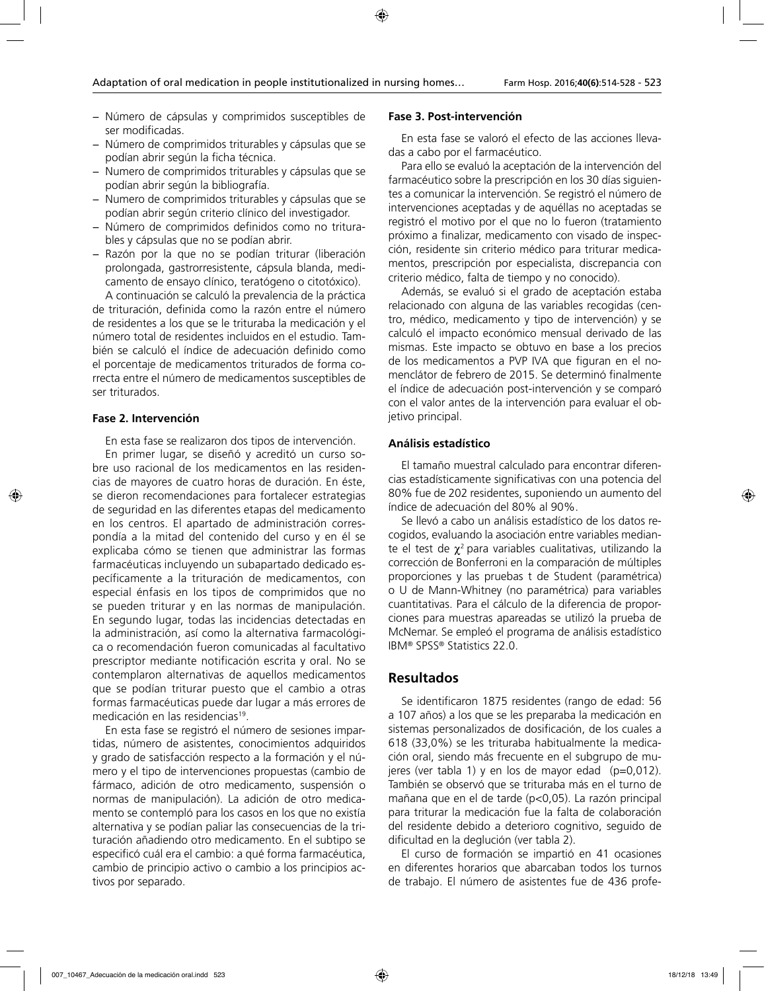- − Número de cápsulas y comprimidos susceptibles de ser modificadas.
- − Número de comprimidos triturables y cápsulas que se podían abrir según la ficha técnica.
- − Numero de comprimidos triturables y cápsulas que se podían abrir según la bibliografía.
- − Numero de comprimidos triturables y cápsulas que se podían abrir según criterio clínico del investigador.
- − Número de comprimidos definidos como no triturables y cápsulas que no se podían abrir.
- − Razón por la que no se podían triturar (liberación prolongada, gastrorresistente, cápsula blanda, medicamento de ensayo clínico, teratógeno o citotóxico).

A continuación se calculó la prevalencia de la práctica de trituración, definida como la razón entre el número de residentes a los que se le trituraba la medicación y el número total de residentes incluidos en el estudio. También se calculó el índice de adecuación definido como el porcentaje de medicamentos triturados de forma correcta entre el número de medicamentos susceptibles de ser triturados.

#### **Fase 2. Intervención**

En esta fase se realizaron dos tipos de intervención.

En primer lugar, se diseñó y acreditó un curso sobre uso racional de los medicamentos en las residencias de mayores de cuatro horas de duración. En éste, se dieron recomendaciones para fortalecer estrategias de seguridad en las diferentes etapas del medicamento en los centros. El apartado de administración correspondía a la mitad del contenido del curso y en él se explicaba cómo se tienen que administrar las formas farmacéuticas incluyendo un subapartado dedicado específicamente a la trituración de medicamentos, con especial énfasis en los tipos de comprimidos que no se pueden triturar y en las normas de manipulación. En segundo lugar, todas las incidencias detectadas en la administración, así como la alternativa farmacológica o recomendación fueron comunicadas al facultativo prescriptor mediante notificación escrita y oral. No se contemplaron alternativas de aquellos medicamentos que se podían triturar puesto que el cambio a otras formas farmacéuticas puede dar lugar a más errores de medicación en las residencias<sup>19</sup>.

En esta fase se registró el número de sesiones impartidas, número de asistentes, conocimientos adquiridos y grado de satisfacción respecto a la formación y el número y el tipo de intervenciones propuestas (cambio de fármaco, adición de otro medicamento, suspensión o normas de manipulación). La adición de otro medicamento se contempló para los casos en los que no existía alternativa y se podían paliar las consecuencias de la trituración añadiendo otro medicamento. En el subtipo se especificó cuál era el cambio: a qué forma farmacéutica, cambio de principio activo o cambio a los principios activos por separado.

#### **Fase 3. Post-intervención**

En esta fase se valoró el efecto de las acciones llevadas a cabo por el farmacéutico.

Para ello se evaluó la aceptación de la intervención del farmacéutico sobre la prescripción en los 30 días siguientes a comunicar la intervención. Se registró el número de intervenciones aceptadas y de aquéllas no aceptadas se registró el motivo por el que no lo fueron (tratamiento próximo a finalizar, medicamento con visado de inspección, residente sin criterio médico para triturar medicamentos, prescripción por especialista, discrepancia con criterio médico, falta de tiempo y no conocido).

Además, se evaluó si el grado de aceptación estaba relacionado con alguna de las variables recogidas (centro, médico, medicamento y tipo de intervención) y se calculó el impacto económico mensual derivado de las mismas. Este impacto se obtuvo en base a los precios de los medicamentos a PVP IVA que figuran en el nomenclátor de febrero de 2015. Se determinó finalmente el índice de adecuación post-intervención y se comparó con el valor antes de la intervención para evaluar el objetivo principal.

#### **Análisis estadístico**

El tamaño muestral calculado para encontrar diferencias estadísticamente significativas con una potencia del 80% fue de 202 residentes, suponiendo un aumento del índice de adecuación del 80% al 90%.

Se llevó a cabo un análisis estadístico de los datos recogidos, evaluando la asociación entre variables mediante el test de  $\chi^2$  para variables cualitativas, utilizando la corrección de Bonferroni en la comparación de múltiples proporciones y las pruebas t de Student (paramétrica) o U de Mann-Whitney (no paramétrica) para variables cuantitativas. Para el cálculo de la diferencia de proporciones para muestras apareadas se utilizó la prueba de McNemar. Se empleó el programa de análisis estadístico IBM® SPSS® Statistics 22.0.

#### **Resultados**

Se identificaron 1875 residentes (rango de edad: 56 a 107 años) a los que se les preparaba la medicación en sistemas personalizados de dosificación, de los cuales a 618 (33,0%) se les trituraba habitualmente la medicación oral, siendo más frecuente en el subgrupo de mujeres (ver tabla 1) y en los de mayor edad  $(p=0,012)$ . También se observó que se trituraba más en el turno de mañana que en el de tarde (p<0,05). La razón principal para triturar la medicación fue la falta de colaboración del residente debido a deterioro cognitivo, seguido de dificultad en la deglución (ver tabla 2).

El curso de formación se impartió en 41 ocasiones en diferentes horarios que abarcaban todos los turnos de trabajo. El número de asistentes fue de 436 profe-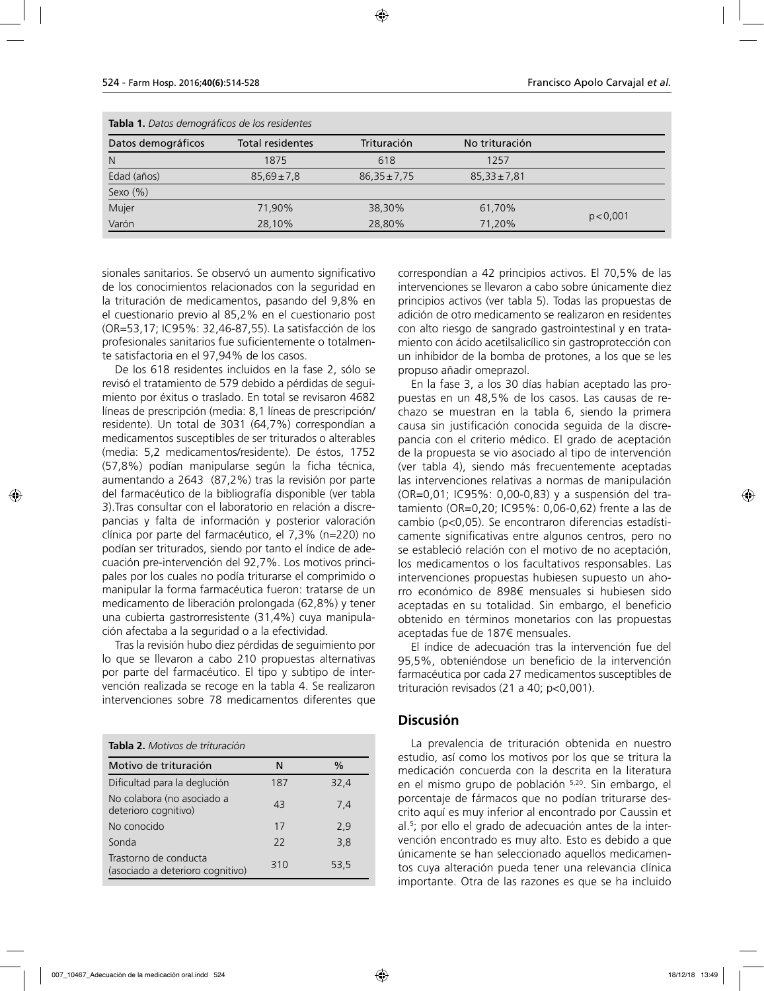| Tabla 1. Datos demográficos de los residentes |                         |                  |                  |           |  |
|-----------------------------------------------|-------------------------|------------------|------------------|-----------|--|
| Datos demográficos                            | <b>Total residentes</b> | Trituración      | No trituración   |           |  |
| $\mathsf{N}$                                  | 1875                    | 618              | 1257             |           |  |
| Edad (años)                                   | $85,69 \pm 7,8$         | $86,35 \pm 7,75$ | $85,33 \pm 7,81$ |           |  |
| Sexo (%)                                      |                         |                  |                  |           |  |
| Mujer                                         | 71.90%                  | 38.30%           | 61,70%           |           |  |
| Varón                                         | 28,10%                  | 28,80%           | 71,20%           | p < 0,001 |  |

sionales sanitarios. Se observó un aumento significativo de los conocimientos relacionados con la seguridad en la trituración de medicamentos, pasando del 9,8% en el cuestionario previo al 85,2% en el cuestionario post (OR=53,17; IC95%: 32,46-87,55). La satisfacción de los profesionales sanitarios fue suficientemente o totalmente satisfactoria en el 97,94% de los casos.

De los 618 residentes incluidos en la fase 2, sólo se revisó el tratamiento de 579 debido a pérdidas de seguimiento por éxitus o traslado. En total se revisaron 4682 líneas de prescripción (media: 8,1 líneas de prescripción/ residente). Un total de 3031 (64,7%) correspondían a medicamentos susceptibles de ser triturados o alterables (media: 5,2 medicamentos/residente). De éstos, 1752 (57,8%) podían manipularse según la ficha técnica, aumentando a 2643 (87,2%) tras la revisión por parte del farmacéutico de la bibliografía disponible (ver tabla 3).Tras consultar con el laboratorio en relación a discrepancias y falta de información y posterior valoración clínica por parte del farmacéutico, el 7,3% (n=220) no podían ser triturados, siendo por tanto el índice de adecuación pre-intervención del 92,7%. Los motivos principales por los cuales no podía triturarse el comprimido o manipular la forma farmacéutica fueron: tratarse de un medicamento de liberación prolongada (62,8%) y tener una cubierta gastrorresistente (31,4%) cuya manipulación afectaba a la seguridad o a la efectividad.

Tras la revisión hubo diez pérdidas de seguimiento por lo que se llevaron a cabo 210 propuestas alternativas por parte del farmacéutico. El tipo y subtipo de intervención realizada se recoge en la tabla 4. Se realizaron intervenciones sobre 78 medicamentos diferentes que

| <b>Tabla 2.</b> Motivos de trituración                    |     |      |
|-----------------------------------------------------------|-----|------|
| Motivo de trituración                                     | N   | $\%$ |
| Dificultad para la deglución                              | 187 | 32,4 |
| No colabora (no asociado a<br>deterioro cognitivo)        | 43  | 7,4  |
| No conocido                                               | 17  | 2,9  |
| Sonda                                                     | 22  | 3,8  |
| Trastorno de conducta<br>(asociado a deterioro cognitivo) | 310 | 53,5 |

correspondían a 42 principios activos. El 70,5% de las intervenciones se llevaron a cabo sobre únicamente diez principios activos (ver tabla 5). Todas las propuestas de adición de otro medicamento se realizaron en residentes con alto riesgo de sangrado gastrointestinal y en tratamiento con ácido acetilsalicílico sin gastroprotección con un inhibidor de la bomba de protones, a los que se les propuso añadir omeprazol.

En la fase 3, a los 30 días habían aceptado las propuestas en un 48,5% de los casos. Las causas de rechazo se muestran en la tabla 6, siendo la primera causa sin justificación conocida seguida de la discrepancia con el criterio médico. El grado de aceptación de la propuesta se vio asociado al tipo de intervención (ver tabla 4), siendo más frecuentemente aceptadas las intervenciones relativas a normas de manipulación (OR=0,01; IC95%: 0,00-0,83) y a suspensión del tratamiento (OR=0,20; IC95%: 0,06-0,62) frente a las de cambio (p<0,05). Se encontraron diferencias estadísticamente significativas entre algunos centros, pero no se estableció relación con el motivo de no aceptación, los medicamentos o los facultativos responsables. Las intervenciones propuestas hubiesen supuesto un ahorro económico de 898€ mensuales si hubiesen sido aceptadas en su totalidad. Sin embargo, el beneficio obtenido en términos monetarios con las propuestas aceptadas fue de 187€ mensuales.

El índice de adecuación tras la intervención fue del 95,5%, obteniéndose un beneficio de la intervención farmacéutica por cada 27 medicamentos susceptibles de trituración revisados (21 a 40; p<0,001).

## **Discusión**

La prevalencia de trituración obtenida en nuestro estudio, así como los motivos por los que se tritura la medicación concuerda con la descrita en la literatura en el mismo grupo de población 5,20. Sin embargo, el porcentaje de fármacos que no podían triturarse descrito aquí es muy inferior al encontrado por Caussin et al.5 ; por ello el grado de adecuación antes de la intervención encontrado es muy alto. Esto es debido a que únicamente se han seleccionado aquellos medicamentos cuya alteración pueda tener una relevancia clínica importante. Otra de las razones es que se ha incluido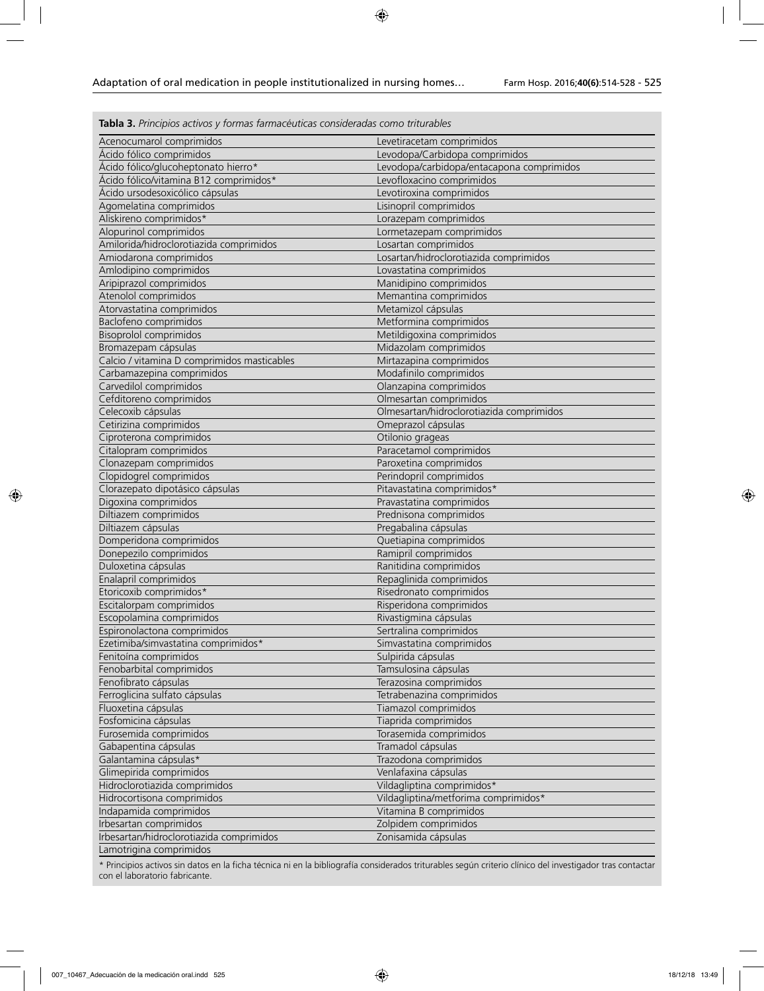**Tabla 3.** *Principios activos y formas farmacéuticas consideradas como triturables*

| Acenocumarol comprimidos                    | Levetiracetam comprimidos                 |
|---------------------------------------------|-------------------------------------------|
| Ácido fólico comprimidos                    | Levodopa/Carbidopa comprimidos            |
| Ácido fólico/glucoheptonato hierro*         | Levodopa/carbidopa/entacapona comprimidos |
| Ácido fólico/vitamina B12 comprimidos*      | Levofloxacino comprimidos                 |
| Ácido ursodesoxicólico cápsulas             | Levotiroxina comprimidos                  |
| Agomelatina comprimidos                     | Lisinopril comprimidos                    |
| Aliskireno comprimidos*                     | Lorazepam comprimidos                     |
| Alopurinol comprimidos                      | Lormetazepam comprimidos                  |
| Amilorida/hidroclorotiazida comprimidos     | Losartan comprimidos                      |
| Amiodarona comprimidos                      | Losartan/hidroclorotiazida comprimidos    |
| Amlodipino comprimidos                      | Lovastatina comprimidos                   |
| Aripiprazol comprimidos                     | Manidipino comprimidos                    |
| Atenolol comprimidos                        | Memantina comprimidos                     |
| Atorvastatina comprimidos                   | Metamizol cápsulas                        |
| Baclofeno comprimidos                       | Metformina comprimidos                    |
| <b>Bisoprolol comprimidos</b>               | Metildigoxina comprimidos                 |
| Bromazepam cápsulas                         | Midazolam comprimidos                     |
| Calcio / vitamina D comprimidos masticables | Mirtazapina comprimidos                   |
| Carbamazepina comprimidos                   | Modafinilo comprimidos                    |
| Carvedilol comprimidos                      | Olanzapina comprimidos                    |
| Cefditoreno comprimidos                     | Olmesartan comprimidos                    |
| Celecoxib cápsulas                          | Olmesartan/hidroclorotiazida comprimidos  |
| Cetirizina comprimidos                      | Omeprazol cápsulas                        |
| Ciproterona comprimidos                     | Otilonio grageas                          |
| Citalopram comprimidos                      | Paracetamol comprimidos                   |
| Clonazepam comprimidos                      | Paroxetina comprimidos                    |
| Clopidogrel comprimidos                     | Perindopril comprimidos                   |
| Clorazepato dipotásico cápsulas             | Pitavastatina comprimidos*                |
| Digoxina comprimidos                        | Pravastatina comprimidos                  |
| Diltiazem comprimidos                       | Prednisona comprimidos                    |
| Diltiazem cápsulas                          | Pregabalina cápsulas                      |
| Domperidona comprimidos                     | Quetiapina comprimidos                    |
| Donepezilo comprimidos                      | Ramipril comprimidos                      |
| Duloxetina cápsulas                         | Ranitidina comprimidos                    |
| Enalapril comprimidos                       | Repaglinida comprimidos                   |
| Etoricoxib comprimidos*                     | Risedronato comprimidos                   |
| Escitalorpam comprimidos                    | Risperidona comprimidos                   |
| Escopolamina comprimidos                    | Rivastigmina cápsulas                     |
| Espironolactona comprimidos                 | Sertralina comprimidos                    |
| Ezetimiba/simvastatina comprimidos*         | Simvastatina comprimidos                  |
| Fenitoína comprimidos                       | Sulpirida cápsulas                        |
| Fenobarbital comprimidos                    | Tamsulosina cápsulas                      |
| Fenofibrato cápsulas                        | Terazosina comprimidos                    |
| Ferroglicina sulfato cápsulas               | Tetrabenazina comprimidos                 |
| Fluoxetina cápsulas                         | Tiamazol comprimidos                      |
| Fosfomicina cápsulas                        | Tiaprida comprimidos                      |
| Furosemida comprimidos                      | Torasemida comprimidos                    |
| Gabapentina cápsulas                        | Tramadol cápsulas                         |
| Galantamina cápsulas*                       | Trazodona comprimidos                     |
| Glimepirida comprimidos                     | Venlafaxina cápsulas                      |
| Hidroclorotiazida comprimidos               | Vildagliptina comprimidos*                |
| Hidrocortisona comprimidos                  | Vildagliptina/metforima comprimidos*      |
| Indapamida comprimidos                      | Vitamina B comprimidos                    |
| Irbesartan comprimidos                      | Zolpidem comprimidos                      |
| Irbesartan/hidroclorotiazida comprimidos    | Zonisamida cápsulas                       |
| Lamotrigina comprimidos                     |                                           |
|                                             |                                           |

\* Principios activos sin datos en la ficha técnica ni en la bibliografía considerados triturables según criterio clínico del investigador tras contactar con el laboratorio fabricante.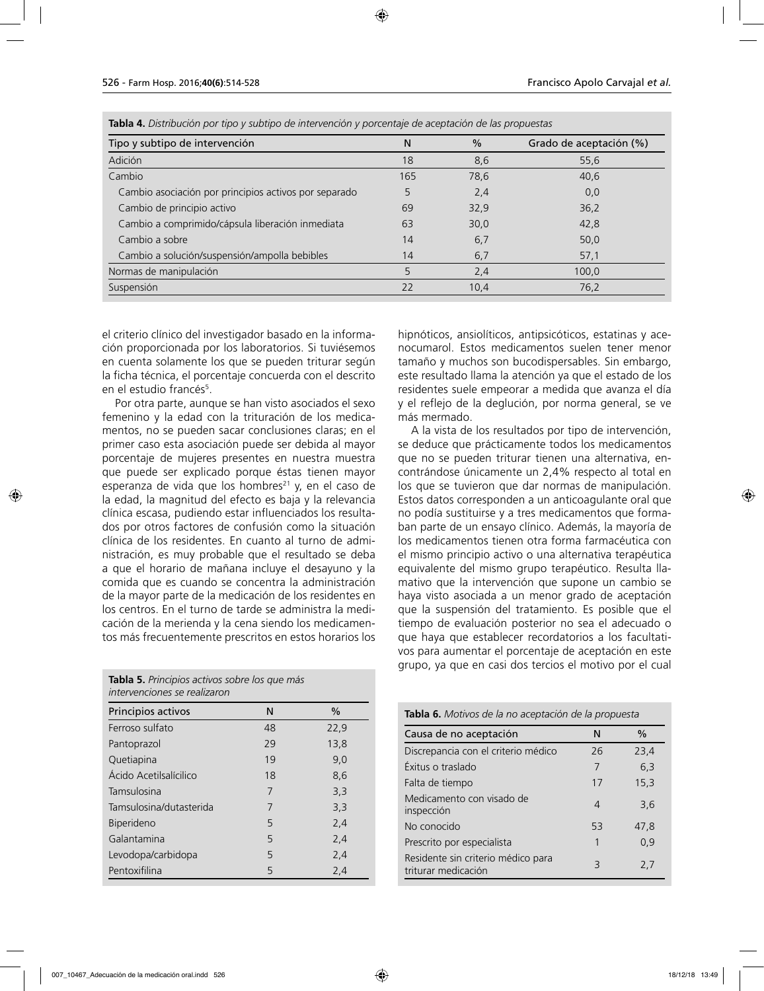| Tipo y subtipo de intervención                        | Ν   | $\frac{0}{0}$ | Grado de aceptación (%) |
|-------------------------------------------------------|-----|---------------|-------------------------|
| Adición                                               | 18  | 8,6           | 55,6                    |
| Cambio                                                | 165 | 78,6          | 40,6                    |
| Cambio asociación por principios activos por separado | 5   | 2,4           | 0,0                     |
| Cambio de principio activo                            | 69  | 32,9          | 36,2                    |
| Cambio a comprimido/cápsula liberación inmediata      | 63  | 30,0          | 42,8                    |
| Cambio a sobre                                        | 14  | 6,7           | 50.0                    |
| Cambio a solución/suspensión/ampolla bebibles         | 14  | 6,7           | 57,1                    |
| Normas de manipulación                                | 5   | 2,4           | 100,0                   |
| Suspensión                                            | 22  | 10,4          | 76,2                    |

**Tabla 4.** *Distribución por tipo y subtipo de intervención y porcentaje de aceptación de las propuestas*

el criterio clínico del investigador basado en la información proporcionada por los laboratorios. Si tuviésemos en cuenta solamente los que se pueden triturar según la ficha técnica, el porcentaje concuerda con el descrito en el estudio francés<sup>5</sup>.

Por otra parte, aunque se han visto asociados el sexo femenino y la edad con la trituración de los medicamentos, no se pueden sacar conclusiones claras; en el primer caso esta asociación puede ser debida al mayor porcentaje de mujeres presentes en nuestra muestra que puede ser explicado porque éstas tienen mayor esperanza de vida que los hombres<sup>21</sup> y, en el caso de la edad, la magnitud del efecto es baja y la relevancia clínica escasa, pudiendo estar influenciados los resultados por otros factores de confusión como la situación clínica de los residentes. En cuanto al turno de administración, es muy probable que el resultado se deba a que el horario de mañana incluye el desayuno y la comida que es cuando se concentra la administración de la mayor parte de la medicación de los residentes en los centros. En el turno de tarde se administra la medicación de la merienda y la cena siendo los medicamentos más frecuentemente prescritos en estos horarios los

**Tabla 5.** *Principios activos sobre los que más intervenciones se realizaron*

| Principios activos      | N  | $\%$ |
|-------------------------|----|------|
| Ferroso sulfato         | 48 | 22,9 |
| Pantoprazol             | 29 | 13,8 |
| Quetiapina              | 19 | 9,0  |
| Ácido Acetilsalícilico  | 18 | 8,6  |
| Tamsulosina             | 7  | 3,3  |
| Tamsulosina/dutasterida | 7  | 3,3  |
| <b>Biperideno</b>       | 5  | 2,4  |
| Galantamina             | 5  | 2,4  |
| Levodopa/carbidopa      | 5  | 2,4  |
| Pentoxifilina           | 5  | 2,4  |

hipnóticos, ansiolíticos, antipsicóticos, estatinas y acenocumarol. Estos medicamentos suelen tener menor tamaño y muchos son bucodispersables. Sin embargo, este resultado llama la atención ya que el estado de los residentes suele empeorar a medida que avanza el día y el reflejo de la deglución, por norma general, se ve más mermado.

A la vista de los resultados por tipo de intervención, se deduce que prácticamente todos los medicamentos que no se pueden triturar tienen una alternativa, encontrándose únicamente un 2,4% respecto al total en los que se tuvieron que dar normas de manipulación. Estos datos corresponden a un anticoagulante oral que no podía sustituirse y a tres medicamentos que formaban parte de un ensayo clínico. Además, la mayoría de los medicamentos tienen otra forma farmacéutica con el mismo principio activo o una alternativa terapéutica equivalente del mismo grupo terapéutico. Resulta llamativo que la intervención que supone un cambio se haya visto asociada a un menor grado de aceptación que la suspensión del tratamiento. Es posible que el tiempo de evaluación posterior no sea el adecuado o que haya que establecer recordatorios a los facultativos para aumentar el porcentaje de aceptación en este grupo, ya que en casi dos tercios el motivo por el cual

| Tabla 6. Motivos de la no aceptación de la propuesta      |    |      |  |
|-----------------------------------------------------------|----|------|--|
| Causa de no aceptación                                    | N  | $\%$ |  |
| Discrepancia con el criterio médico                       | 26 | 23,4 |  |
| Éxitus o traslado                                         | 7  | 6.3  |  |
| Falta de tiempo                                           | 17 | 15,3 |  |
| Medicamento con visado de<br>inspección                   | 4  | 3.6  |  |
| No conocido                                               | 53 | 47.8 |  |
| Prescrito por especialista                                | 1  | 0.9  |  |
| Residente sin criterio médico para<br>triturar medicación | 3  | 2,7  |  |
|                                                           |    |      |  |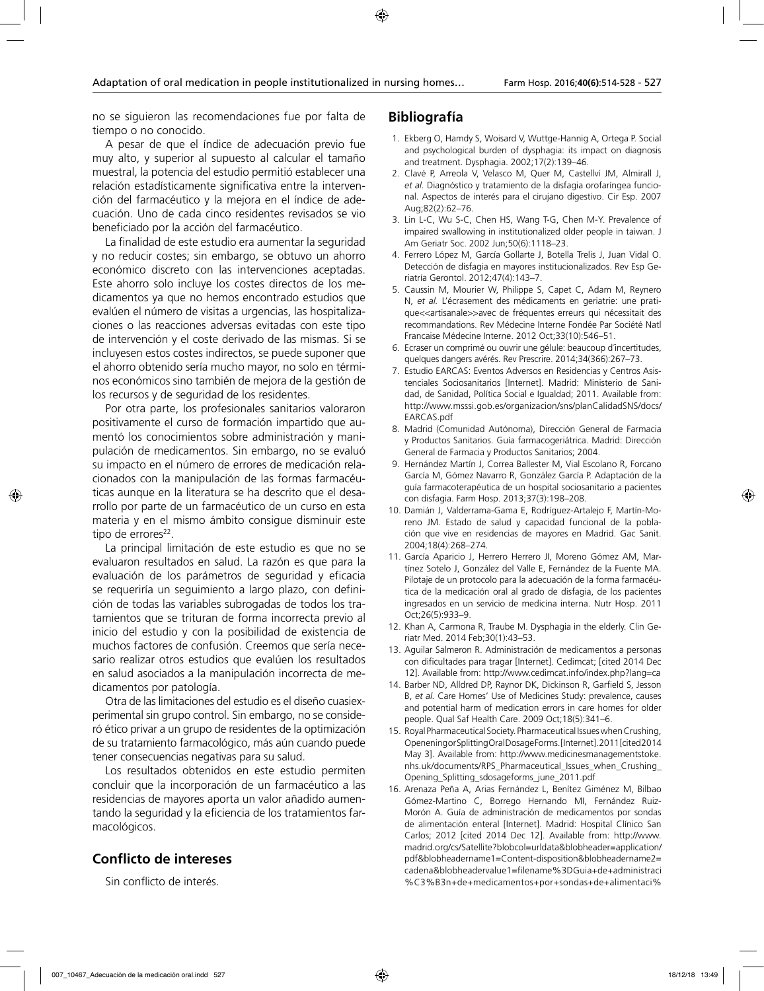no se siguieron las recomendaciones fue por falta de tiempo o no conocido.

A pesar de que el índice de adecuación previo fue muy alto, y superior al supuesto al calcular el tamaño muestral, la potencia del estudio permitió establecer una relación estadísticamente significativa entre la intervención del farmacéutico y la mejora en el índice de adecuación. Uno de cada cinco residentes revisados se vio beneficiado por la acción del farmacéutico.

La finalidad de este estudio era aumentar la seguridad y no reducir costes; sin embargo, se obtuvo un ahorro económico discreto con las intervenciones aceptadas. Este ahorro solo incluye los costes directos de los medicamentos ya que no hemos encontrado estudios que evalúen el número de visitas a urgencias, las hospitalizaciones o las reacciones adversas evitadas con este tipo de intervención y el coste derivado de las mismas. Si se incluyesen estos costes indirectos, se puede suponer que el ahorro obtenido sería mucho mayor, no solo en términos económicos sino también de mejora de la gestión de los recursos y de seguridad de los residentes.

Por otra parte, los profesionales sanitarios valoraron positivamente el curso de formación impartido que aumentó los conocimientos sobre administración y manipulación de medicamentos. Sin embargo, no se evaluó su impacto en el número de errores de medicación relacionados con la manipulación de las formas farmacéuticas aunque en la literatura se ha descrito que el desarrollo por parte de un farmacéutico de un curso en esta materia y en el mismo ámbito consigue disminuir este tipo de errores<sup>22</sup>.

La principal limitación de este estudio es que no se evaluaron resultados en salud. La razón es que para la evaluación de los parámetros de seguridad y eficacia se requeriría un seguimiento a largo plazo, con definición de todas las variables subrogadas de todos los tratamientos que se trituran de forma incorrecta previo al inicio del estudio y con la posibilidad de existencia de muchos factores de confusión. Creemos que sería necesario realizar otros estudios que evalúen los resultados en salud asociados a la manipulación incorrecta de medicamentos por patología.

Otra de las limitaciones del estudio es el diseño cuasiexperimental sin grupo control. Sin embargo, no se consideró ético privar a un grupo de residentes de la optimización de su tratamiento farmacológico, más aún cuando puede tener consecuencias negativas para su salud.

Los resultados obtenidos en este estudio permiten concluir que la incorporación de un farmacéutico a las residencias de mayores aporta un valor añadido aumentando la seguridad y la eficiencia de los tratamientos farmacológicos.

## **Conflicto de intereses**

Sin conflicto de interés.

### **Bibliografía**

- 1. Ekberg O, Hamdy S, Woisard V, Wuttge-Hannig A, Ortega P. Social and psychological burden of dysphagia: its impact on diagnosis and treatment. Dysphagia. 2002;17(2):139–46.
- 2. Clavé P, Arreola V, Velasco M, Quer M, Castellví JM, Almirall J, *et al.* Diagnóstico y tratamiento de la disfagia orofaríngea funcional. Aspectos de interés para el cirujano digestivo. Cir Esp. 2007 Aug;82(2):62–76.
- 3. Lin L-C, Wu S-C, Chen HS, Wang T-G, Chen M-Y. Prevalence of impaired swallowing in institutionalized older people in taiwan. J Am Geriatr Soc. 2002 Jun;50(6):1118–23.
- 4. Ferrero López M, García Gollarte J, Botella Trelis J, Juan Vidal O. Detección de disfagia en mayores institucionalizados. Rev Esp Geriatría Gerontol. 2012;47(4):143–7.
- 5. Caussin M, Mourier W, Philippe S, Capet C, Adam M, Reynero N, *et al.* L'écrasement des médicaments en geriatrie: une pratique<<artisanale>>avec de fréquentes erreurs qui nécessitait des recommandations. Rev Médecine Interne Fondée Par Société Natl Francaise Médecine Interne. 2012 Oct;33(10):546–51.
- 6. Ecraser un comprimé ou ouvrir une gélule: beaucoup d´incertitudes, quelques dangers avérés. Rev Prescrire. 2014;34(366):267–73.
- 7. Estudio EARCAS: Eventos Adversos en Residencias y Centros Asistenciales Sociosanitarios [Internet]. Madrid: Ministerio de Sanidad, de Sanidad, Política Social e Igualdad; 2011. Available from: http://www.msssi.gob.es/organizacion/sns/planCalidadSNS/docs/ EARCAS.pdf
- 8. Madrid (Comunidad Autónoma), Dirección General de Farmacia y Productos Sanitarios. Guía farmacogeriátrica. Madrid: Dirección General de Farmacia y Productos Sanitarios; 2004.
- 9. Hernández Martín J, Correa Ballester M, Vial Escolano R, Forcano García M, Gómez Navarro R, González García P. Adaptación de la guía farmacoterapéutica de un hospital sociosanitario a pacientes con disfagia. Farm Hosp. 2013;37(3):198–208.
- 10. Damián J, Valderrama-Gama E, Rodríguez-Artalejo F, Martín-Moreno JM. Estado de salud y capacidad funcional de la población que vive en residencias de mayores en Madrid. Gac Sanit. 2004;18(4):268–274.
- 11. García Aparicio J, Herrero Herrero JI, Moreno Gómez AM, Martínez Sotelo J, González del Valle E, Fernández de la Fuente MA. Pilotaje de un protocolo para la adecuación de la forma farmacéutica de la medicación oral al grado de disfagia, de los pacientes ingresados en un servicio de medicina interna. Nutr Hosp. 2011 Oct;26(5):933–9.
- 12. Khan A, Carmona R, Traube M. Dysphagia in the elderly. Clin Geriatr Med. 2014 Feb;30(1):43–53.
- 13. Aguilar Salmeron R. Administración de medicamentos a personas con dificultades para tragar [Internet]. Cedimcat; [cited 2014 Dec 12]. Available from: http://www.cedimcat.info/index.php?lang=ca
- 14. Barber ND, Alldred DP, Raynor DK, Dickinson R, Garfield S, Jesson B, *et al.* Care Homes' Use of Medicines Study: prevalence, causes and potential harm of medication errors in care homes for older people. Qual Saf Health Care. 2009 Oct;18(5):341–6.
- 15. Royal Pharmaceutical Society. Pharmaceutical Issues when Crushing, Openening or Splitting Oral Dosage Forms. [Internet]. 2011 [cited 2014 May 3]. Available from: http://www.medicinesmanagementstoke. nhs.uk/documents/RPS\_Pharmaceutical\_Issues\_when\_Crushing\_ Opening\_Splitting\_sdosageforms\_june\_2011.pdf
- 16. Arenaza Peña A, Arias Fernández L, Benítez Giménez M, Bilbao Gómez-Martino C, Borrego Hernando MI, Fernández Ruiz-Morón A. Guía de administración de medicamentos por sondas de alimentación enteral [Internet]. Madrid: Hospital Clínico San Carlos; 2012 [cited 2014 Dec 12]. Available from: http://www. madrid.org/cs/Satellite?blobcol=urldata&blobheader=application/ pdf&blobheadername1=Content-disposition&blobheadername2= cadena&blobheadervalue1=filename%3DGuia+de+administraci %C3%B3n+de+medicamentos+por+sondas+de+alimentaci%